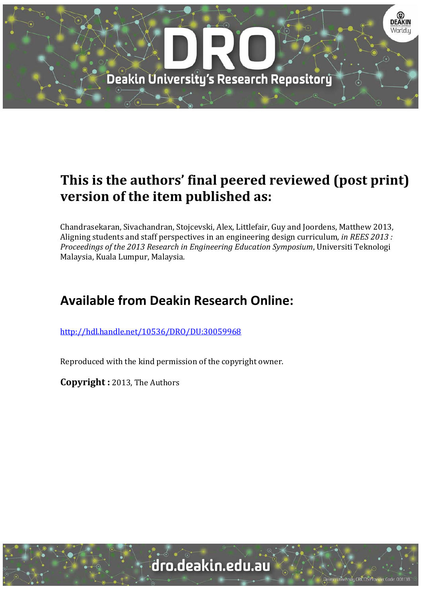

# **This is the authors' final peered reviewed (post print) version of the item published as:**

Chandrasekaran, Sivachandran, Stojcevski, Alex, Littlefair, Guy and Joordens, Matthew 2013, Aligning students and staff perspectives in an engineering design curriculum*, in REES 2013 : Proceedings of the 2013 Research in Engineering Education Symposium*, Universiti Teknologi Malaysia, Kuala Lumpur, Malaysia.

## **Available from Deakin Research Online:**

http://hdl.handle.net/10536/DRO/DU:30059968

Reproduced with the kind permission of the copyright owner.

**Copyright** : 2013, The Authors

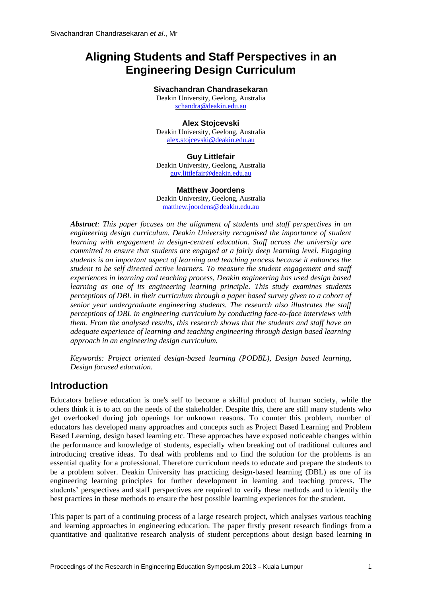## **Aligning Students and Staff Perspectives in an Engineering Design Curriculum**

#### **Sivachandran Chandrasekaran**

Deakin University, Geelong, Australia [schandra@deakin.edu.au](mailto:schandra@deakin.edu.au)

#### **Alex Stojcevski**

Deakin University, Geelong, Australia [alex.stojcevski@deakin.edu.au](mailto:alex.stojcevski@deakin.edu.au)

#### **Guy Littlefair**

Deakin University, Geelong, Australia [guy.littlefair@deakin.edu.au](mailto:guy.littlefair@deakin.edu.au)

#### **Matthew Joordens**

Deakin University, Geelong, Australia [matthew.joordens@deakin.edu.au](mailto:matthew.joordens@deakin.edu.au)

*Abstract: This paper focuses on the alignment of students and staff perspectives in an engineering design curriculum. Deakin University recognised the importance of student learning with engagement in design-centred education. Staff across the university are committed to ensure that students are engaged at a fairly deep learning level. Engaging students is an important aspect of learning and teaching process because it enhances the student to be self directed active learners. To measure the student engagement and staff experiences in learning and teaching process, Deakin engineering has used design based learning as one of its engineering learning principle. This study examines students perceptions of DBL in their curriculum through a paper based survey given to a cohort of senior year undergraduate engineering students. The research also illustrates the staff perceptions of DBL in engineering curriculum by conducting face-to-face interviews with them. From the analysed results, this research shows that the students and staff have an adequate experience of learning and teaching engineering through design based learning approach in an engineering design curriculum.*

*Keywords: Project oriented design-based learning (PODBL), Design based learning, Design focused education.*

## **Introduction**

Educators believe education is one's self to become a skilful product of human society, while the others think it is to act on the needs of the stakeholder. Despite this, there are still many students who get overlooked during job openings for unknown reasons. To counter this problem, number of educators has developed many approaches and concepts such as Project Based Learning and Problem Based Learning, design based learning etc. These approaches have exposed noticeable changes within the performance and knowledge of students, especially when breaking out of traditional cultures and introducing creative ideas. To deal with problems and to find the solution for the problems is an essential quality for a professional. Therefore curriculum needs to educate and prepare the students to be a problem solver. Deakin University has practicing design-based learning (DBL) as one of its engineering learning principles for further development in learning and teaching process. The students' perspectives and staff perspectives are required to verify these methods and to identify the best practices in these methods to ensure the best possible learning experiences for the student.

This paper is part of a continuing process of a large research project, which analyses various teaching and learning approaches in engineering education. The paper firstly present research findings from a quantitative and qualitative research analysis of student perceptions about design based learning in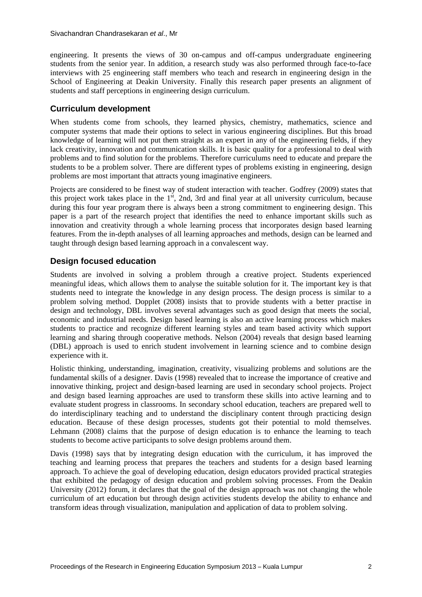engineering. It presents the views of 30 on-campus and off-campus undergraduate engineering students from the senior year. In addition, a research study was also performed through face-to-face interviews with 25 engineering staff members who teach and research in engineering design in the School of Engineering at Deakin University. Finally this research paper presents an alignment of students and staff perceptions in engineering design curriculum.

### **Curriculum development**

When students come from schools, they learned physics, chemistry, mathematics, science and computer systems that made their options to select in various engineering disciplines. But this broad knowledge of learning will not put them straight as an expert in any of the engineering fields, if they lack creativity, innovation and communication skills. It is basic quality for a professional to deal with problems and to find solution for the problems. Therefore curriculums need to educate and prepare the students to be a problem solver. There are different types of problems existing in engineering, design problems are most important that attracts young imaginative engineers.

Projects are considered to be finest way of student interaction with teacher. [Godfrey \(2009\)](#page-9-0) states that this project work takes place in the  $1<sup>st</sup>$ , 2nd, 3rd and final year at all university curriculum, because during this four year program there is always been a strong commitment to engineering design. This paper is a part of the research project that identifies the need to enhance important skills such as innovation and creativity through a whole learning process that incorporates design based learning features. From the in-depth analyses of all learning approaches and methods, design can be learned and taught through design based learning approach in a convalescent way.

## **Design focused education**

Students are involved in solving a problem through a creative project. Students experienced meaningful ideas, which allows them to analyse the suitable solution for it. The important key is that students need to integrate the knowledge in any design process. The design process is similar to a problem solving method. [Dopplet \(2008\)](#page-9-1) insists that to provide students with a better practise in design and technology, DBL involves several advantages such as good design that meets the social, economic and industrial needs. Design based learning is also an active learning process which makes students to practice and recognize different learning styles and team based activity which support learning and sharing through cooperative methods. [Nelson \(2004\)](#page-9-2) reveals that design based learning (DBL) approach is used to enrich student involvement in learning science and to combine design experience with it.

Holistic thinking, understanding, imagination, creativity, visualizing problems and solutions are the fundamental skills of a designer. [Davis \(1998\)](#page-9-3) revealed that to increase the importance of creative and innovative thinking, project and design-based learning are used in secondary school projects. Project and design based learning approaches are used to transform these skills into active learning and to evaluate student progress in classrooms. In secondary school education, teachers are prepared well to do interdisciplinary teaching and to understand the disciplinary content through practicing design education. Because of these design processes, students got their potential to mold themselves. [Lehmann \(2008\)](#page-9-4) claims that the purpose of design education is to enhance the learning to teach students to become active participants to solve design problems around them.

[Davis \(1998\)](#page-9-3) says that by integrating design education with the curriculum, it has improved the teaching and learning process that prepares the teachers and students for a design based learning approach. To achieve the goal of developing education, design educators provided practical strategies that exhibited the pedagogy of design education and problem solving processes. From the Deakin [University \(2012\)](#page-9-5) forum, it declares that the goal of the design approach was not changing the whole curriculum of art education but through design activities students develop the ability to enhance and transform ideas through visualization, manipulation and application of data to problem solving.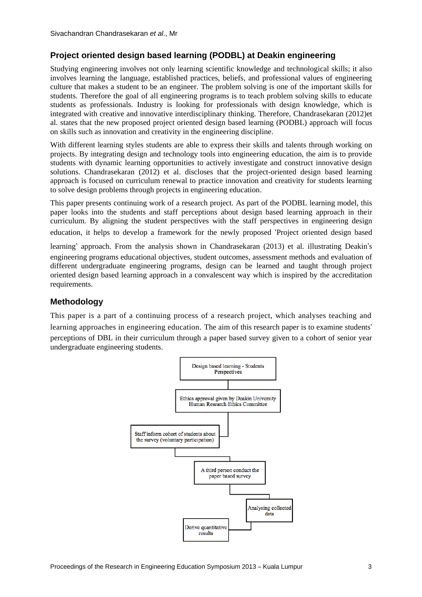## **Project oriented design based learning (PODBL) at Deakin engineering**

Studying engineering involves not only learning scientific knowledge and technological skills; it also involves learning the language, established practices, beliefs, and professional values of engineering culture that makes a student to be an engineer. The problem solving is one of the important skills for students. Therefore the goal of all engineering programs is to teach problem solving skills to educate students as professionals. Industry is looking for professionals with design knowledge, which is integrated with creative and innovative interdisciplinary thinking. Therefore, [Chandrasekaran \(2012\)](#page-9-6)et al. states that the new proposed project oriented design based learning (PODBL) approach will focus on skills such as innovation and creativity in the engineering discipline.

With different learning styles students are able to express their skills and talents through working on projects. By integrating design and technology tools into engineering education, the aim is to provide students with dynamic learning opportunities to actively investigate and construct innovative design solutions. [Chandrasekaran \(2012\)](#page-9-7) et al. discloses that the project-oriented design based learning approach is focused on curriculum renewal to practice innovation and creativity for students learning to solve design problems through projects in engineering education.

This paper presents continuing work of a research project. As part of the PODBL learning model, this paper looks into the students and staff perceptions about design based learning approach in their curriculum. By aligning the student perspectives with the staff perspectives in engineering design education, it helps to develop a framework for the newly proposed 'Project oriented design based learning' approach. From the analysis shown in [Chandrasekaran \(2013\)](#page-9-8) et al. illustrating Deakin's engineering programs educational objectives, student outcomes, assessment methods and evaluation of different undergraduate engineering programs, design can be learned and taught through project oriented design based learning approach in a convalescent way which is inspired by the accreditation requirements.

## **Methodology**

This paper is a part of a continuing process of a research project, which analyses teaching and learning approaches in engineering education. The aim of this research paper is to examine students' perceptions of DBL in their curriculum through a paper based survey given to a cohort of senior year undergraduate engineering students.

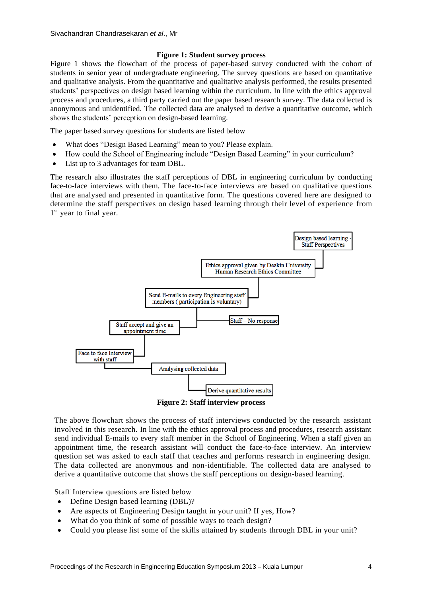#### **Figure 1: Student survey process**

Figure 1 shows the flowchart of the process of paper-based survey conducted with the cohort of students in senior year of undergraduate engineering. The survey questions are based on quantitative and qualitative analysis. From the quantitative and qualitative analysis performed, the results presented students' perspectives on design based learning within the curriculum. In line with the ethics approval process and procedures, a third party carried out the paper based research survey. The data collected is anonymous and unidentified. The collected data are analysed to derive a quantitative outcome, which shows the students' perception on design-based learning.

The paper based survey questions for students are listed below

- What does "Design Based Learning" mean to you? Please explain.
- How could the School of Engineering include "Design Based Learning" in your curriculum?
- List up to 3 advantages for team DBL.

The research also illustrates the staff perceptions of DBL in engineering curriculum by conducting face-to-face interviews with them*.* The face-to-face interviews are based on qualitative questions that are analysed and presented in quantitative form. The questions covered here are designed to determine the staff perspectives on design based learning through their level of experience from 1<sup>st</sup> year to final year.



**Figure 2: Staff interview process**

The above flowchart shows the process of staff interviews conducted by the research assistant involved in this research. In line with the ethics approval process and procedures, research assistant send individual E-mails to every staff member in the School of Engineering. When a staff given an appointment time, the research assistant will conduct the face-to-face interview. An interview question set was asked to each staff that teaches and performs research in engineering design. The data collected are anonymous and non-identifiable. The collected data are analysed to derive a quantitative outcome that shows the staff perceptions on design-based learning.

Staff Interview questions are listed below

- Define Design based learning (DBL)?
- Are aspects of Engineering Design taught in your unit? If yes, How?
- What do you think of some of possible ways to teach design?
- Could you please list some of the skills attained by students through DBL in your unit?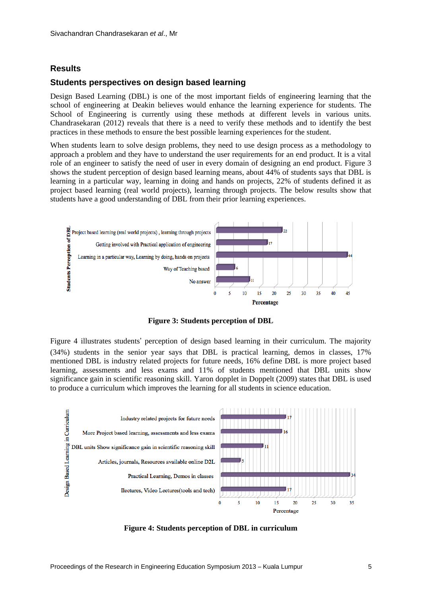#### **Results**

#### **Students perspectives on design based learning**

Design Based Learning (DBL) is one of the most important fields of engineering learning that the school of engineering at Deakin believes would enhance the learning experience for students. The School of Engineering is currently using these methods at different levels in various units. [Chandrasekaran \(2012\)](#page-9-9) reveals that there is a need to verify these methods and to identify the best practices in these methods to ensure the best possible learning experiences for the student.

When students learn to solve design problems, they need to use design process as a methodology to approach a problem and they have to understand the user requirements for an end product. It is a vital role of an engineer to satisfy the need of user in every domain of designing an end product. Figure 3 shows the student perception of design based learning means, about 44% of students says that DBL is learning in a particular way, learning in doing and hands on projects, 22% of students defined it as project based learning (real world projects), learning through projects. The below results show that students have a good understanding of DBL from their prior learning experiences.



**Figure 3: Students perception of DBL**

Figure 4 illustrates students' perception of design based learning in their curriculum. The majority (34%) students in the senior year says that DBL is practical learning, demos in classes, 17% mentioned DBL is industry related projects for future needs, 16% define DBL is more project based learning, assessments and less exams and 11% of students mentioned that DBL units show significance gain in scientific reasoning skill. Yaron dopplet in [Doppelt \(2009\)](#page-9-10) states that DBL is used to produce a curriculum which improves the learning for all students in science education.



**Figure 4: Students perception of DBL in curriculum**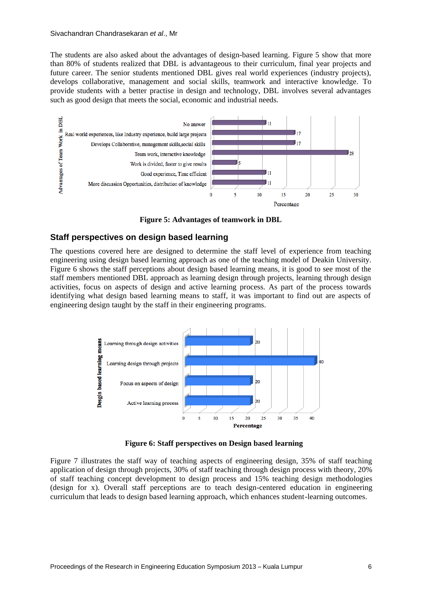#### Sivachandran Chandrasekaran *et al*., Mr

The students are also asked about the advantages of design-based learning. Figure 5 show that more than 80% of students realized that DBL is advantageous to their curriculum, final year projects and future career. The senior students mentioned DBL gives real world experiences (industry projects), develops collaborative, management and social skills, teamwork and interactive knowledge. To provide students with a better practise in design and technology, DBL involves several advantages such as good design that meets the social, economic and industrial needs.



**Figure 5: Advantages of teamwork in DBL**

#### **Staff perspectives on design based learning**

The questions covered here are designed to determine the staff level of experience from teaching engineering using design based learning approach as one of the teaching model of Deakin University. Figure 6 shows the staff perceptions about design based learning means, it is good to see most of the staff members mentioned DBL approach as learning design through projects, learning through design activities, focus on aspects of design and active learning process. As part of the process towards identifying what design based learning means to staff, it was important to find out are aspects of engineering design taught by the staff in their engineering programs.



**Figure 6: Staff perspectives on Design based learning**

Figure 7 illustrates the staff way of teaching aspects of engineering design, 35% of staff teaching application of design through projects, 30% of staff teaching through design process with theory, 20% of staff teaching concept development to design process and 15% teaching design methodologies (design for x). Overall staff perceptions are to teach design-centered education in engineering curriculum that leads to design based learning approach, which enhances student-learning outcomes.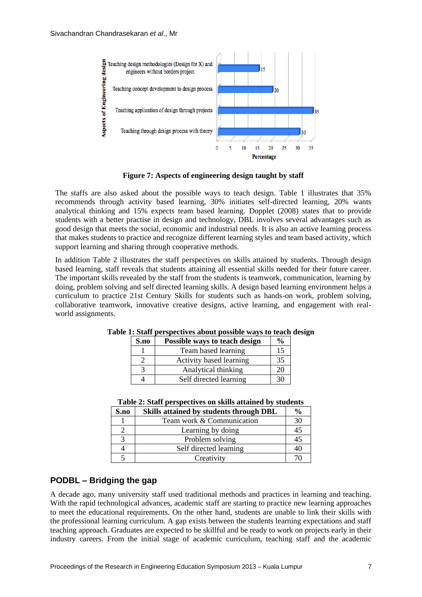

**Figure 7: Aspects of engineering design taught by staff**

The staffs are also asked about the possible ways to teach design. Table 1 illustrates that 35% recommends through activity based learning, 30% initiates self-directed learning, 20% wants analytical thinking and 15% expects team based learning. [Dopplet \(2008\)](#page-9-1) states that to provide students with a better practise in design and technology, DBL involves several advantages such as good design that meets the social, economic and industrial needs. It is also an active learning process that makes students to practice and recognize different learning styles and team based activity, which support learning and sharing through cooperative methods.

In addition Table 2 illustrates the staff perspectives on skills attained by students. Through design based learning, staff reveals that students attaining all essential skills needed for their future career. The important skills revealed by the staff from the students is teamwork, communication, learning by doing, problem solving and self directed learning skills. A design based learning environment helps a curriculum to practice 21st Century Skills for students such as hands-on work, problem solving, collaborative teamwork, innovative creative designs, active learning, and engagement with realworld assignments.

| S.no | Possible ways to teach design | $\frac{6}{9}$ |
|------|-------------------------------|---------------|
|      | Team based learning           | 15            |
|      | Activity based learning       | 35            |
|      | Analytical thinking           | 20            |
|      | Self directed learning        | 30            |

**Table 1: Staff perspectives about possible ways to teach design**

| S.no | Skills attained by students through DBL |    |
|------|-----------------------------------------|----|
|      | Team work & Communication               | 30 |
|      | Learning by doing                       | 45 |
|      | Problem solving                         | 45 |
|      | Self directed learning                  | 40 |
|      | Creativity                              |    |

## **PODBL – Bridging the gap**

A decade ago, many university staff used traditional methods and practices in learning and teaching. With the rapid technological advances, academic staff are starting to practice new learning approaches to meet the educational requirements. On the other hand, students are unable to link their skills with the professional learning curriculum. A gap exists between the students learning expectations and staff teaching approach. Graduates are expected to be skillful and be ready to work on projects early in their industry careers. From the initial stage of academic curriculum, teaching staff and the academic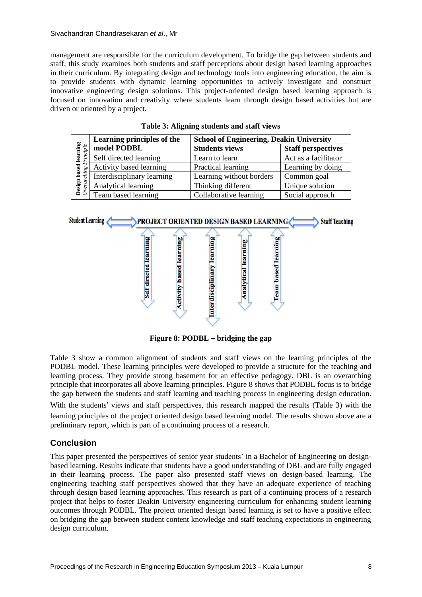#### Sivachandran Chandrasekaran *et al*., Mr

management are responsible for the curriculum development. To bridge the gap between students and staff, this study examines both students and staff perceptions about design based learning approaches in their curriculum. By integrating design and technology tools into engineering education, the aim is to provide students with dynamic learning opportunities to actively investigate and construct innovative engineering design solutions. This project-oriented design based learning approach is focused on innovation and creativity where students learn through design based activities but are driven or oriented by a project.

|                                                              | Learning principles of the | <b>School of Engineering, Deakin University</b> |                           |
|--------------------------------------------------------------|----------------------------|-------------------------------------------------|---------------------------|
|                                                              | model PODBL                | <b>Students views</b>                           | <b>Staff perspectives</b> |
| <b>based learning</b><br>ching Principle<br>ಒ<br>Design<br>C | Self directed learning     | Learn to learn                                  | Act as a facilitator      |
|                                                              | Activity based learning    | Practical learning                              | Learning by doing         |
|                                                              | Interdisciplinary learning | Learning without borders                        | Common goal               |
|                                                              | Analytical learning        | Thinking different                              | Unique solution           |
|                                                              | Team based learning        | Collaborative learning                          | Social approach           |

**Table 3: Aligning students and staff views**



**Figure 8: PODBL** – **bridging the gap**

Table 3 show a common alignment of students and staff views on the learning principles of the PODBL model. These learning principles were developed to provide a structure for the teaching and learning process. They provide strong basement for an effective pedagogy. DBL is an overarching principle that incorporates all above learning principles. Figure 8 shows that PODBL focus is to bridge the gap between the students and staff learning and teaching process in engineering design education.

With the students' views and staff perspectives, this research mapped the results (Table 3) with the

learning principles of the project oriented design based learning model. The results shown above are a preliminary report, which is part of a continuing process of a research.

## **Conclusion**

This paper presented the perspectives of senior year students' in a Bachelor of Engineering on designbased learning. Results indicate that students have a good understanding of DBL and are fully engaged in their learning process. The paper also presented staff views on design-based learning. The engineering teaching staff perspectives showed that they have an adequate experience of teaching through design based learning approaches. This research is part of a continuing process of a research project that helps to foster Deakin University engineering curriculum for enhancing student learning outcomes through PODBL. The project oriented design based learning is set to have a positive effect on bridging the gap between student content knowledge and staff teaching expectations in engineering design curriculum.